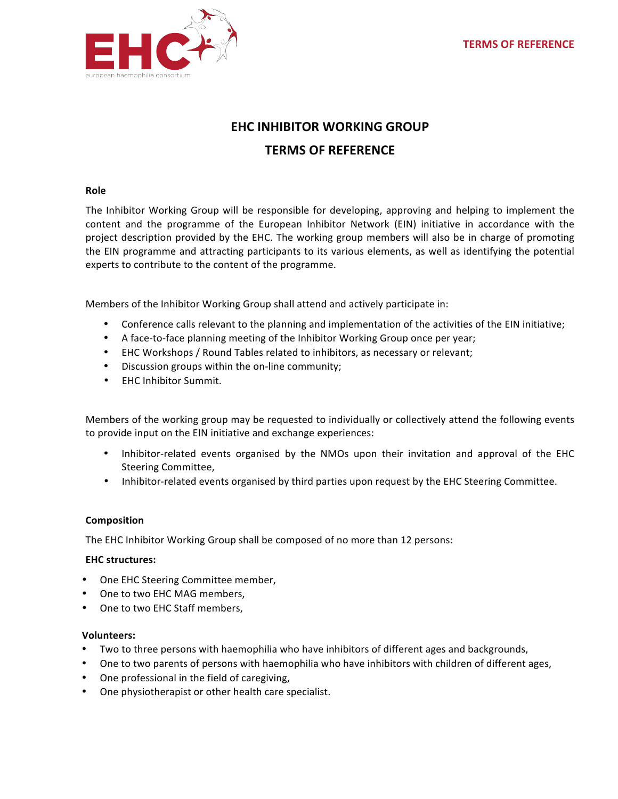

# **EHC INHIBITOR WORKING GROUP TERMS OF REFERENCE**

### **Role**

The Inhibitor Working Group will be responsible for developing, approving and helping to implement the content and the programme of the European Inhibitor Network (EIN) initiative in accordance with the project description provided by the EHC. The working group members will also be in charge of promoting the EIN programme and attracting participants to its various elements, as well as identifying the potential experts to contribute to the content of the programme.

Members of the Inhibitor Working Group shall attend and actively participate in:

- Conference calls relevant to the planning and implementation of the activities of the EIN initiative;
- A face-to-face planning meeting of the Inhibitor Working Group once per year;
- EHC Workshops / Round Tables related to inhibitors, as necessary or relevant;
- Discussion groups within the on-line community;
- **EHC Inhibitor Summit.**

Members of the working group may be requested to individually or collectively attend the following events to provide input on the EIN initiative and exchange experiences:

- Inhibitor-related events organised by the NMOs upon their invitation and approval of the EHC Steering Committee,
- Inhibitor-related events organised by third parties upon request by the EHC Steering Committee.

#### **Composition**

The EHC Inhibitor Working Group shall be composed of no more than 12 persons:

#### **EHC structures:**

- One EHC Steering Committee member,
- One to two EHC MAG members,
- One to two EHC Staff members,

#### **Volunteers:**

- Two to three persons with haemophilia who have inhibitors of different ages and backgrounds,
- One to two parents of persons with haemophilia who have inhibitors with children of different ages,
- One professional in the field of caregiving,
- One physiotherapist or other health care specialist.